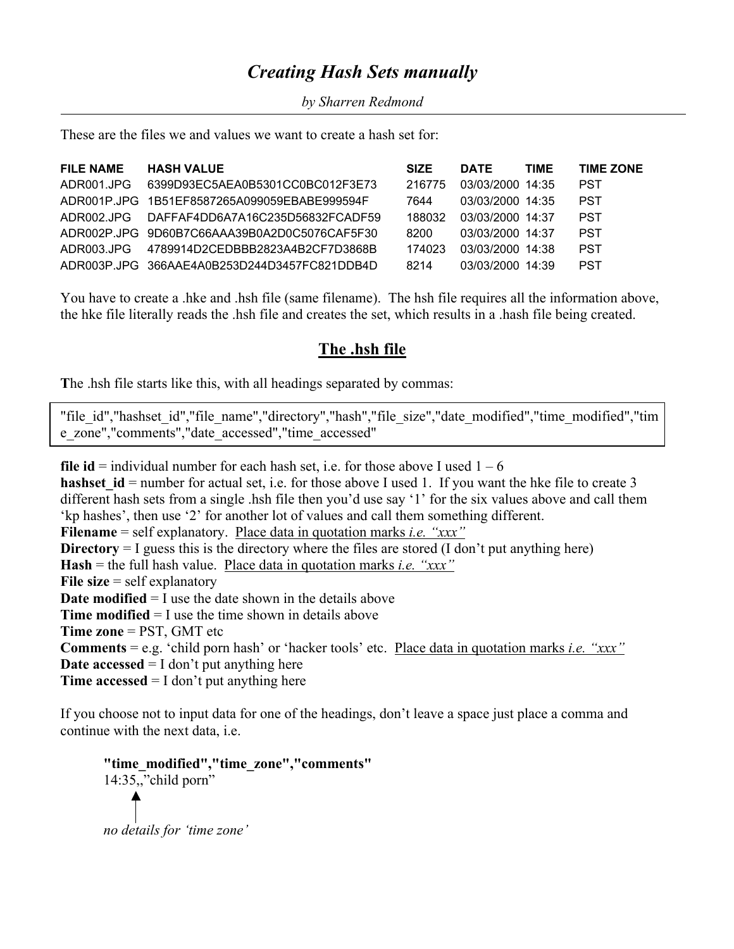## *Creating Hash Sets manually*

*by Sharren Redmond*

These are the files we and values we want to create a hash set for:

| <b>FILE NAME</b> | <b>HASH VALUE</b>                            | <b>SIZE</b> | <b>DATE</b>      | TIME | <b>TIME ZONE</b> |
|------------------|----------------------------------------------|-------------|------------------|------|------------------|
| ADR001.JPG       | 6399D93EC5AEA0B5301CC0BC012F3E73             | 216775      | 03/03/2000 14:35 |      | <b>PST</b>       |
|                  | ADR001P.JPG 1B51EF8587265A099059EBABE999594F | 7644        | 03/03/2000 14:35 |      | <b>PST</b>       |
| ADR002.JPG       | DAFFAF4DD6A7A16C235D56832FCADF59             | 188032      | 03/03/2000 14:37 |      | <b>PST</b>       |
|                  | ADR002P.JPG 9D60B7C66AAA39B0A2D0C5076CAF5F30 | 8200        | 03/03/2000 14:37 |      | <b>PST</b>       |
|                  | ADR003.JPG 4789914D2CEDBBB2823A4B2CE7D3868B  | 174023      | 03/03/2000 14:38 |      | <b>PST</b>       |
|                  | ADR003P.JPG 366AAE4A0B253D244D3457FC821DDB4D | 8214        | 03/03/2000 14:39 |      | <b>PST</b>       |

You have to create a .hke and .hsh file (same filename). The hsh file requires all the information above, the hke file literally reads the .hsh file and creates the set, which results in a .hash file being created.

## The .hsh file

The .hsh file starts like this, with all headings separated by commas:

"file\_id","hashset\_id","file\_name","directory","hash","file\_size","date\_modified","time\_modified","tim e\_zone","comments","date\_accessed","time\_accessed"

**file id** = individual number for each hash set, i.e. for those above I used  $1 - 6$ hashset  $id$  = number for actual set, i.e. for those above I used 1. If you want the hke file to create 3 different hash sets from a single .hsh file then you'd use say '1' for the six values above and call them 'kp hashes', then use '2' for another lot of values and call them something different. Filename = self explanatory. Place data in quotation marks *i.e. "xxx"* **Directory**  $=$  I guess this is the directory where the files are stored (I don't put anything here) Hash = the full hash value. Place data in quotation marks *i.e. "xxx"* File size = self explanatory **Date modified**  $= I$  use the date shown in the details above **Time modified**  $= I$  use the time shown in details above Time zone = PST, GMT etc Comments = e.g. 'child porn hash' or 'hacker tools' etc. Place data in quotation marks *i.e. "xxx"* **Date accessed** = I don't put anything here **Time accessed**  $=$  I don't put anything here

If you choose not to input data for one of the headings, don't leave a space just place a comma and continue with the next data, i.e.

"time\_modified","time\_zone","comments" 14:35,,"child porn" *no details for 'time zone'*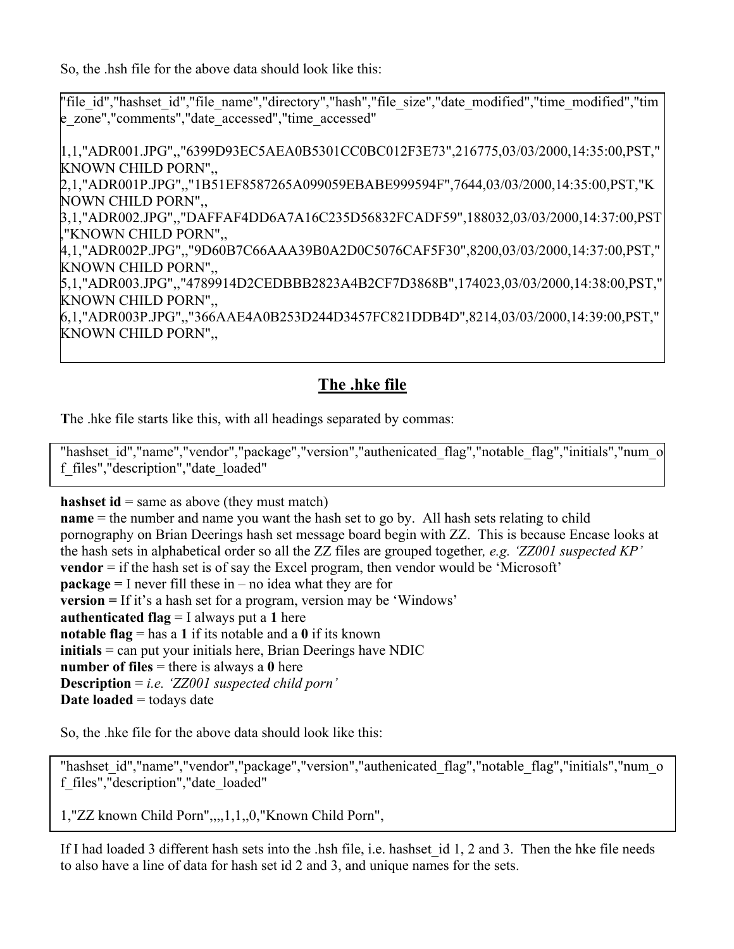So, the .hsh file for the above data should look like this:

"file\_id","hashset\_id","file\_name","directory","hash","file\_size","date\_modified","time\_modified","tim e\_zone","comments","date\_accessed","time\_accessed"

1,1,"ADR001.JPG",,"6399D93EC5AEA0B5301CC0BC012F3E73",216775,03/03/2000,14:35:00,PST," KNOWN CHILD PORN",, 2,1,"ADR001P.JPG",,"1B51EF8587265A099059EBABE999594F",7644,03/03/2000,14:35:00,PST,"K NOWN CHILD PORN",, 3,1,"ADR002.JPG",,"DAFFAF4DD6A7A16C235D56832FCADF59",188032,03/03/2000,14:37:00,PST ,"KNOWN CHILD PORN",, 4,1,"ADR002P.JPG",,"9D60B7C66AAA39B0A2D0C5076CAF5F30",8200,03/03/2000,14:37:00,PST," KNOWN CHILD PORN",, 5,1,"ADR003.JPG",,"4789914D2CEDBBB2823A4B2CF7D3868B",174023,03/03/2000,14:38:00,PST," KNOWN CHILD PORN",, 6,1,"ADR003P.JPG",,"366AAE4A0B253D244D3457FC821DDB4D",8214,03/03/2000,14:39:00,PST," KNOWN CHILD PORN",,

## The .hke file

The .hke file starts like this, with all headings separated by commas:

"hashset\_id","name","vendor","package","version","authenicated\_flag","notable\_flag","initials","num\_o f\_files","description","date\_loaded"

hashset  $id = same$  as above (they must match)

name = the number and name you want the hash set to go by. All hash sets relating to child pornography on Brian Deerings hash set message board begin with ZZ. This is because Encase looks at the hash sets in alphabetical order so all the ZZ files are grouped together*, e.g. 'ZZ001 suspected KP'* vendor = if the hash set is of say the Excel program, then vendor would be 'Microsoft'  $package = I$  never fill these in – no idea what they are for version = If it's a hash set for a program, version may be 'Windows' **authenticated flag**  $=$  I always put a 1 here notable flag = has a 1 if its notable and a 0 if its known initials = can put your initials here, Brian Deerings have NDIC number of files  $=$  there is always a 0 here Description = *i.e. 'ZZ001 suspected child porn'* **Date loaded**  $=$  todays date

So, the .hke file for the above data should look like this:

"hashset\_id","name","vendor","package","version","authenicated\_flag","notable\_flag","initials","num\_o f\_files","description","date\_loaded"

1,"ZZ known Child Porn",,,,1,1,,0,"Known Child Porn",

If I had loaded 3 different hash sets into the .hsh file, i.e. hashset id 1, 2 and 3. Then the hke file needs to also have a line of data for hash set id 2 and 3, and unique names for the sets.